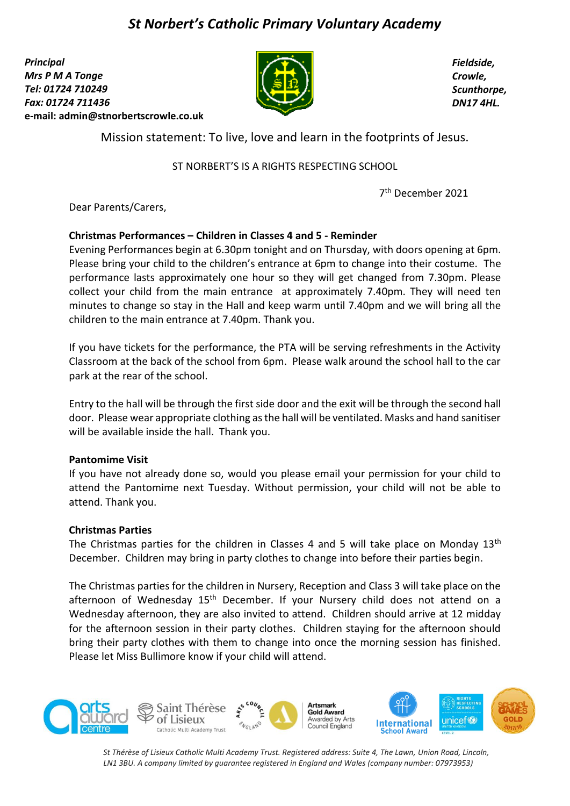# *St Norbert's Catholic Primary Voluntary Academy*

*Principal Mrs P M A Tonge Tel: 01724 710249 Fax: 01724 711436*  **e-mail: [admin@stnorbertscrowle.co.uk](mailto:admin@stnorbertscrowle.co.uk)**



*Fieldside, Crowle, Scunthorpe, DN17 4HL.*

Mission statement: To live, love and learn in the footprints of Jesus.

ST NORBERT'S IS A RIGHTS RESPECTING SCHOOL

7 th December 2021

Dear Parents/Carers,

## **Christmas Performances – Children in Classes 4 and 5 - Reminder**

Evening Performances begin at 6.30pm tonight and on Thursday, with doors opening at 6pm. Please bring your child to the children's entrance at 6pm to change into their costume. The performance lasts approximately one hour so they will get changed from 7.30pm. Please collect your child from the main entrance at approximately 7.40pm. They will need ten minutes to change so stay in the Hall and keep warm until 7.40pm and we will bring all the children to the main entrance at 7.40pm. Thank you.

If you have tickets for the performance, the PTA will be serving refreshments in the Activity Classroom at the back of the school from 6pm. Please walk around the school hall to the car park at the rear of the school.

Entry to the hall will be through the first side door and the exit will be through the second hall door. Please wear appropriate clothing as the hall will be ventilated. Masks and hand sanitiser will be available inside the hall. Thank you.

## **Pantomime Visit**

If you have not already done so, would you please email your permission for your child to attend the Pantomime next Tuesday. Without permission, your child will not be able to attend. Thank you.

## **Christmas Parties**

The Christmas parties for the children in Classes 4 and 5 will take place on Monday 13<sup>th</sup> December. Children may bring in party clothes to change into before their parties begin.

The Christmas parties for the children in Nursery, Reception and Class 3 will take place on the afternoon of Wednesday 15<sup>th</sup> December. If your Nursery child does not attend on a Wednesday afternoon, they are also invited to attend. Children should arrive at 12 midday for the afternoon session in their party clothes. Children staying for the afternoon should bring their party clothes with them to change into once the morning session has finished. Please let Miss Bullimore know if your child will attend.



*St Thérèse of Lisieux Catholic Multi Academy Trust. Registered address: Suite 4, The Lawn, Union Road, Lincoln, LN1 3BU. A company limited by guarantee registered in England and Wales (company number: 07973953)*